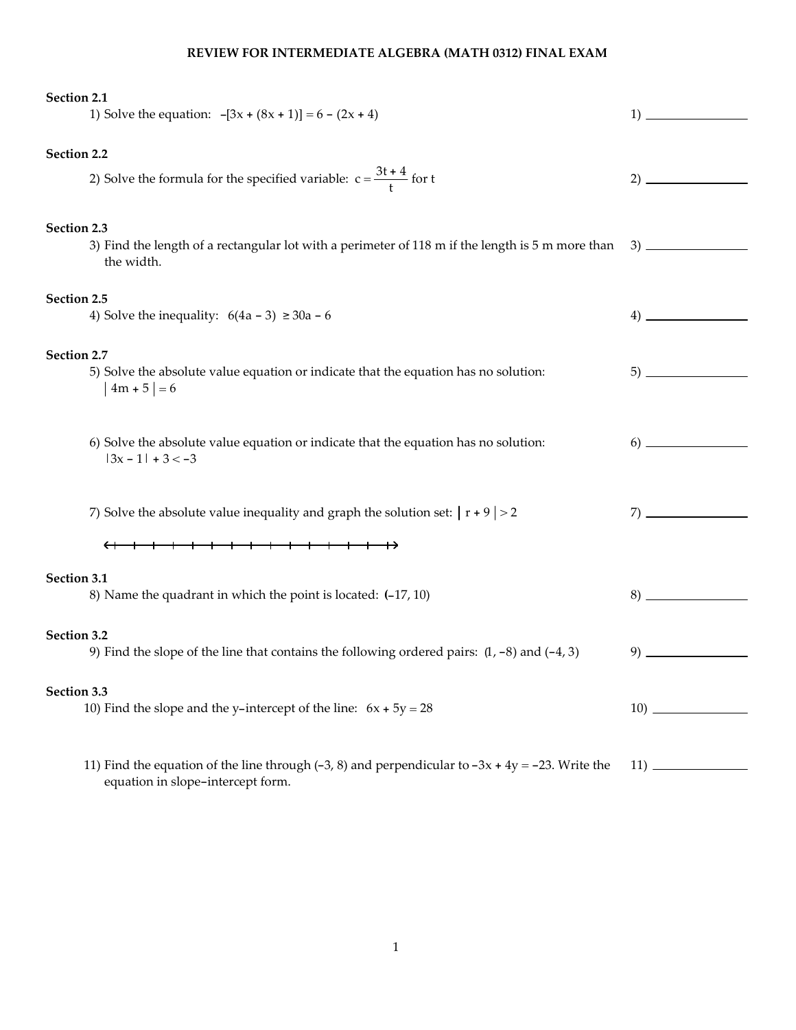## REVIEW FOR INTERMEDIATE ALGEBRA (MATH 0312) FINAL EXAM

| Section 2.1<br>1) Solve the equation: $-[3x + (8x + 1)] = 6 - (2x + 4)$                                                                  | 1) |  |  |  |  |
|------------------------------------------------------------------------------------------------------------------------------------------|----|--|--|--|--|
| Section 2.2                                                                                                                              |    |  |  |  |  |
| 2) Solve the formula for the specified variable: $c = \frac{3t + 4}{t}$ for t                                                            |    |  |  |  |  |
|                                                                                                                                          |    |  |  |  |  |
| Section 2.3<br>3) Find the length of a rectangular lot with a perimeter of 118 m if the length is 5 m more than                          |    |  |  |  |  |
| the width.                                                                                                                               |    |  |  |  |  |
| Section 2.5<br>4) Solve the inequality: $6(4a - 3) \ge 30a - 6$                                                                          |    |  |  |  |  |
|                                                                                                                                          |    |  |  |  |  |
| Section 2.7<br>5) Solve the absolute value equation or indicate that the equation has no solution:                                       |    |  |  |  |  |
| $4m + 5 = 6$                                                                                                                             |    |  |  |  |  |
| 6) Solve the absolute value equation or indicate that the equation has no solution:                                                      |    |  |  |  |  |
| $ 3x - 1  + 3 < -3$                                                                                                                      |    |  |  |  |  |
|                                                                                                                                          |    |  |  |  |  |
| 7) Solve the absolute value inequality and graph the solution set: $ r + 9  > 2$                                                         |    |  |  |  |  |
|                                                                                                                                          |    |  |  |  |  |
| Section 3.1<br>8) Name the quadrant in which the point is located: (-17, 10)                                                             |    |  |  |  |  |
|                                                                                                                                          |    |  |  |  |  |
| Section 3.2<br>9) Find the slope of the line that contains the following ordered pairs: $(1, -8)$ and $(-4, 3)$                          | 9) |  |  |  |  |
| Section 3.3                                                                                                                              |    |  |  |  |  |
| 10) Find the slope and the y-intercept of the line: $6x + 5y = 28$                                                                       |    |  |  |  |  |
|                                                                                                                                          |    |  |  |  |  |
| 11) Find the equation of the line through (-3, 8) and perpendicular to $-3x + 4y = -23$ . Write the<br>equation in slope-intercept form. |    |  |  |  |  |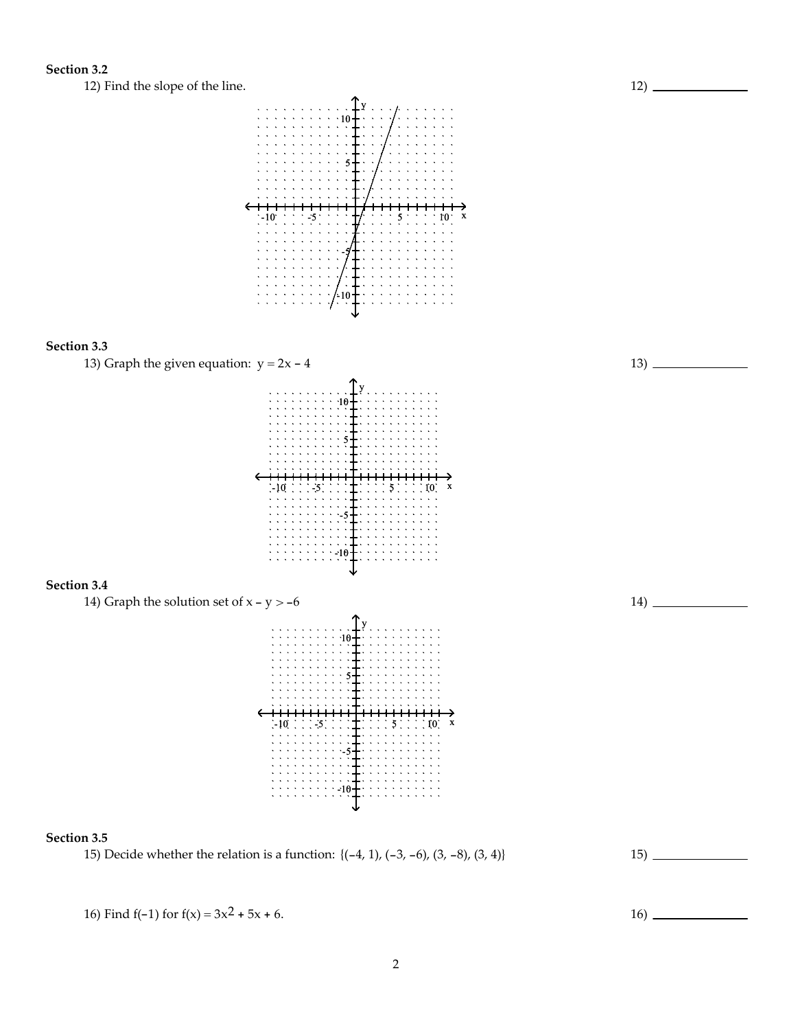## Section 3.2

12) Find the slope of the line.



## Section 3.3



16) Find f(-1) for  $f(x) = 3x^2 + 5x + 6$ . 16)

12)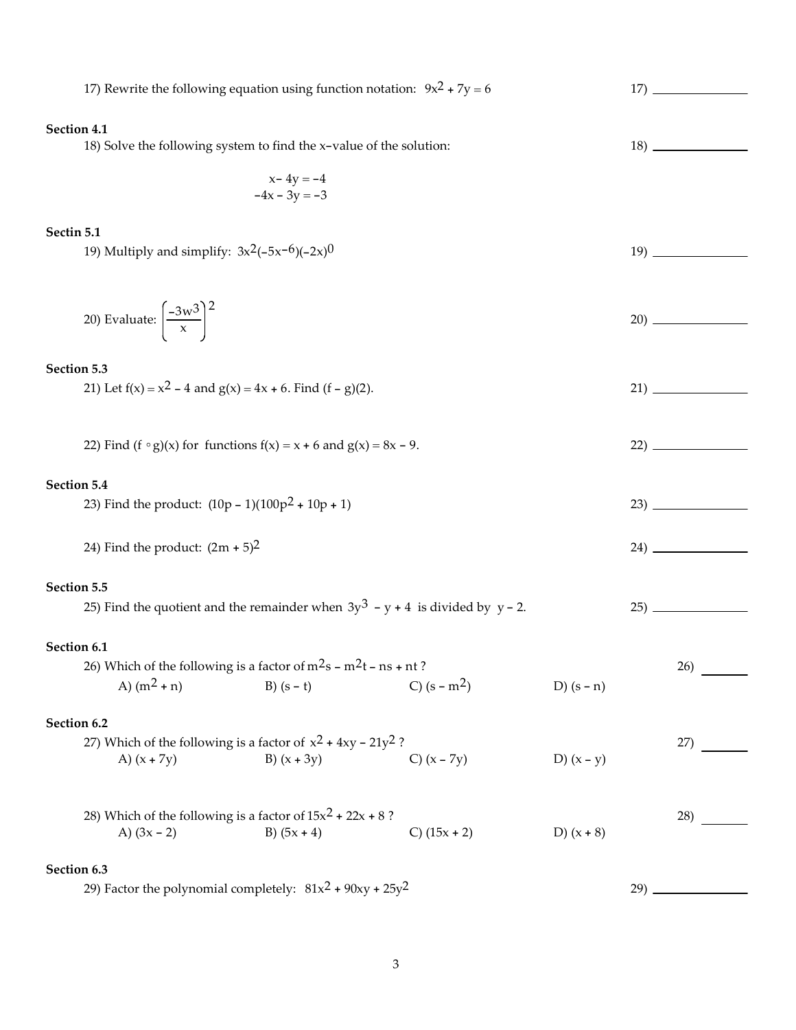|             | 17) Rewrite the following equation using function notation: $9x^2 + 7y = 6$         |                                  |                |              |     |     |  |  |
|-------------|-------------------------------------------------------------------------------------|----------------------------------|----------------|--------------|-----|-----|--|--|
| Section 4.1 | 18) Solve the following system to find the x-value of the solution:                 |                                  |                |              |     |     |  |  |
|             |                                                                                     | $x - 4y = -4$<br>$-4x - 3y = -3$ |                |              |     |     |  |  |
| Sectin 5.1  | 19) Multiply and simplify: $3x^2(-5x^{-6})(-2x)^0$                                  |                                  |                |              |     |     |  |  |
|             | 20) Evaluate: $\left[\frac{-3w^3}{x}\right]^2$                                      |                                  |                |              |     |     |  |  |
| Section 5.3 | 21) Let $f(x) = x^2 - 4$ and $g(x) = 4x + 6$ . Find $(f - g)(2)$ .                  |                                  |                |              |     |     |  |  |
|             | 22) Find $(f \circ g)(x)$ for functions $f(x) = x + 6$ and $g(x) = 8x - 9$ .        |                                  |                |              |     |     |  |  |
| Section 5.4 |                                                                                     |                                  |                |              |     |     |  |  |
|             | 23) Find the product: $(10p - 1)(100p^2 + 10p + 1)$                                 |                                  |                |              |     |     |  |  |
|             | 24) Find the product: $(2m + 5)^2$                                                  |                                  |                |              |     |     |  |  |
| Section 5.5 |                                                                                     |                                  |                |              |     |     |  |  |
|             | 25) Find the quotient and the remainder when $3y^3 - y + 4$ is divided by $y - 2$ . |                                  |                |              |     |     |  |  |
| Section 6.1 |                                                                                     |                                  |                |              |     |     |  |  |
|             | 26) Which of the following is a factor of $m2s - m2t - ns + nt$ ?                   |                                  |                |              |     | 26) |  |  |
|             | A) $(m^2 + n)$                                                                      | $B(x - t)$                       | C) $(s - m^2)$ | D) $(s - n)$ |     |     |  |  |
| Section 6.2 |                                                                                     |                                  |                |              |     |     |  |  |
|             | 27) Which of the following is a factor of $x^2 + 4xy - 21y^2$ ?<br>A) $(x + 7y)$    | B) $(x + 3y)$                    | C) $(x - 7y)$  | D) $(x - y)$ |     | 27) |  |  |
|             | 28) Which of the following is a factor of $15x^2 + 22x + 8$ ?<br>A) $(3x - 2)$      | B) $(5x + 4)$                    | C) $(15x + 2)$ | D) $(x + 8)$ |     | 28) |  |  |
|             | Section 6.3                                                                         |                                  |                |              |     |     |  |  |
|             | 29) Factor the polynomial completely: $81x^2 + 90xy + 25y^2$                        |                                  |                |              | 29) |     |  |  |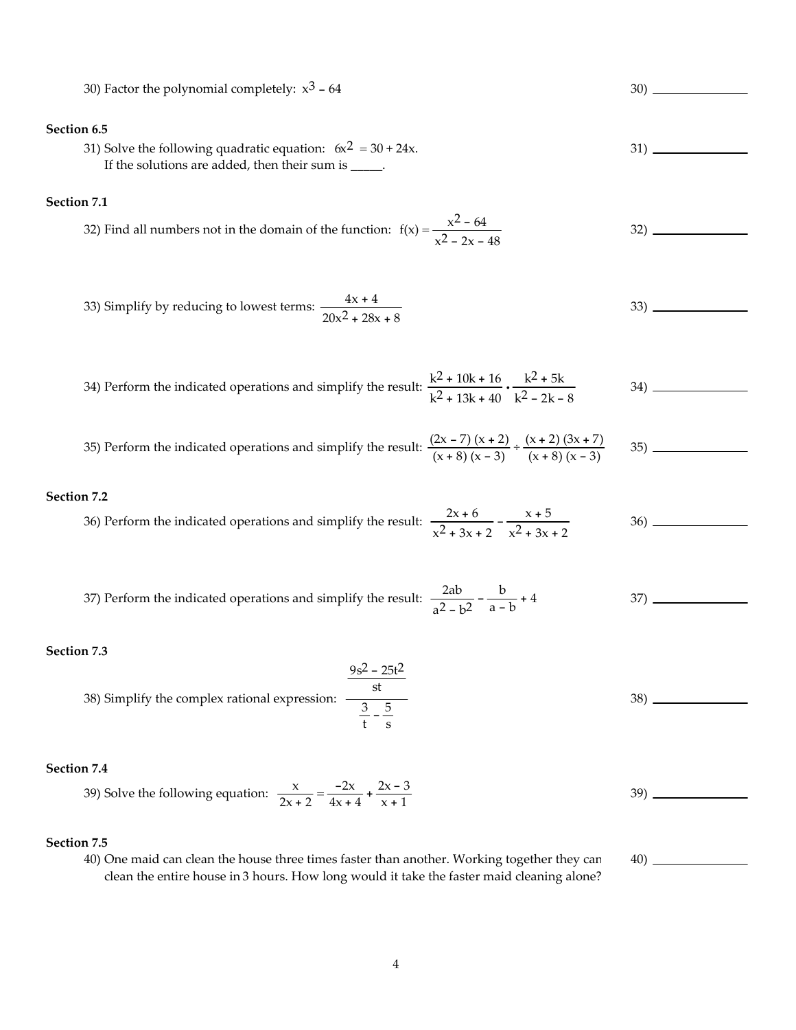30) Factor the polynomial completely:  $x^3 - 64$  30) Section 6.5 31) Solve the following quadratic equation:  $6x^2 = 30 + 24x$ . If the solutions are added, then their sum is \_\_\_\_\_. 31) Section 7.1 32) Find all numbers not in the domain of the function:  $f(x) = \frac{x^2 - 64}{x^2 - 64}$  $x^2 - 2x - 48$ 32) 33) Simplify by reducing to lowest terms:  $\frac{4x + 4}{x}$  $20x^2 + 28x + 8$ 33) 34) Perform the indicated operations and simplify the result:  $\frac{k^2 + 10k + 16}{k^2 + 10k + 16}$  $k^2$  + 13k + 40  $\frac{k^2 + 5k}{2}$  $k^2 - 2k - 8$ 34) 35) Perform the indicated operations and simplify the result:  $\frac{(2x-7)(x+2)}{(x+8)(x-3)} \div \frac{(x+2)(3x+7)}{(x+8)(x-3)}$  $(x + 8)(x - 3)$ 35) Section 7.2 36) Perform the indicated operations and simplify the result:  $\frac{2x + 6}{2}$  $x^2 + 3x + 2$  $-\frac{x+5}{x+5}$  $x^2 + 3x + 2$ 36) 37) Perform the indicated operations and simplify the result:  $\frac{2ab}{2a}$  $a^2 - b^2$  $-\frac{b}{a-b} + 4$  37) Section 7.3 38) Simplify the complex rational expression:  $9s^2 - 25t^2$ st 3 t  $\frac{5}{-}$ s 38) Section 7.4 39) Solve the following equation:  $\frac{x}{2x+2} = \frac{-2x}{4x+4} + \frac{2x-3}{x+1}$  $\frac{2x+6}{x+1}$  39) Section 7.5 40) One maid can clean the house three times faster than another. Working together they can 40)

clean the entire house in 3 hours. How long would it take the faster maid cleaning alone?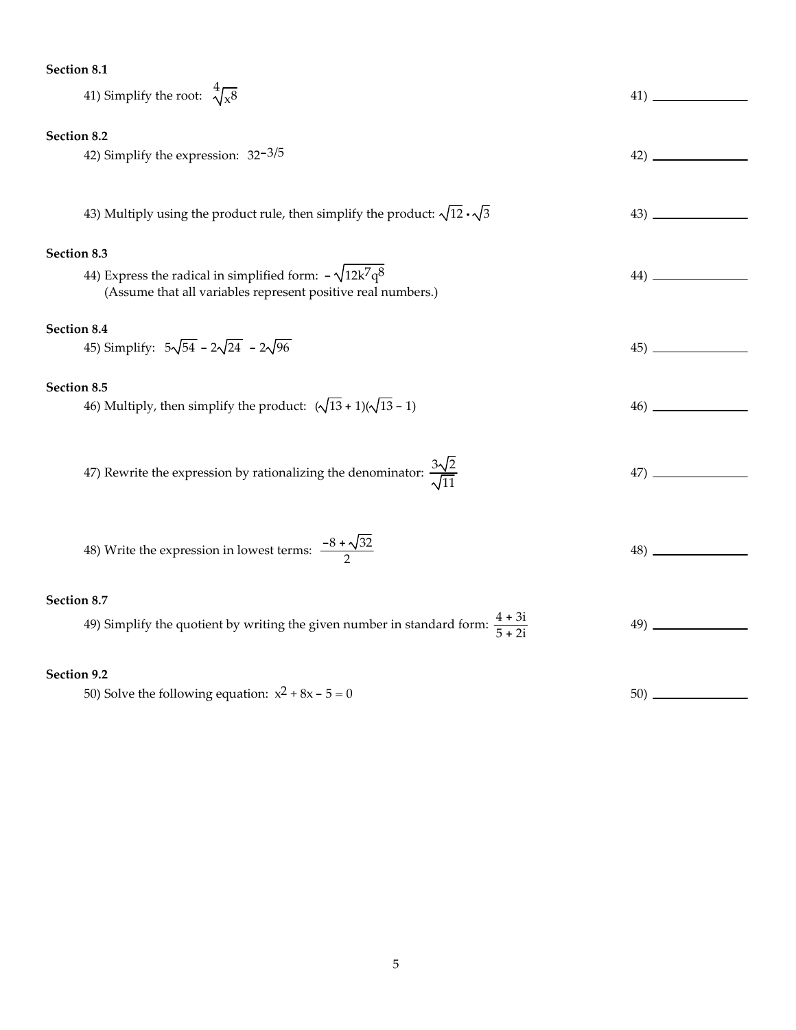## Section 8.1

| 41) Simplify the root: $\sqrt[4]{x^8}$                                                      |  |  |  |  |  |  |
|---------------------------------------------------------------------------------------------|--|--|--|--|--|--|
|                                                                                             |  |  |  |  |  |  |
| Section 8.2                                                                                 |  |  |  |  |  |  |
| 42) Simplify the expression: $32-3/5$                                                       |  |  |  |  |  |  |
|                                                                                             |  |  |  |  |  |  |
|                                                                                             |  |  |  |  |  |  |
| 43) Multiply using the product rule, then simplify the product: $\sqrt{12} \cdot \sqrt{3}$  |  |  |  |  |  |  |
|                                                                                             |  |  |  |  |  |  |
| Section 8.3                                                                                 |  |  |  |  |  |  |
| 44) Express the radical in simplified form: $-\sqrt{12k^7q^8}$                              |  |  |  |  |  |  |
| (Assume that all variables represent positive real numbers.)                                |  |  |  |  |  |  |
|                                                                                             |  |  |  |  |  |  |
| Section 8.4                                                                                 |  |  |  |  |  |  |
| 45) Simplify: $5\sqrt{54} - 2\sqrt{24} - 2\sqrt{96}$                                        |  |  |  |  |  |  |
|                                                                                             |  |  |  |  |  |  |
| Section 8.5                                                                                 |  |  |  |  |  |  |
| 46) Multiply, then simplify the product: $(\sqrt{13} + 1)(\sqrt{13} - 1)$                   |  |  |  |  |  |  |
|                                                                                             |  |  |  |  |  |  |
|                                                                                             |  |  |  |  |  |  |
|                                                                                             |  |  |  |  |  |  |
| 47) Rewrite the expression by rationalizing the denominator: $\frac{3\sqrt{2}}{\sqrt{11}}$  |  |  |  |  |  |  |
|                                                                                             |  |  |  |  |  |  |
|                                                                                             |  |  |  |  |  |  |
|                                                                                             |  |  |  |  |  |  |
| 48) Write the expression in lowest terms: $\frac{-8 + \sqrt{32}}{2}$                        |  |  |  |  |  |  |
|                                                                                             |  |  |  |  |  |  |
|                                                                                             |  |  |  |  |  |  |
| Section 8.7                                                                                 |  |  |  |  |  |  |
| 49) Simplify the quotient by writing the given number in standard form: $\frac{4+31}{5+2i}$ |  |  |  |  |  |  |
|                                                                                             |  |  |  |  |  |  |
|                                                                                             |  |  |  |  |  |  |
| Section 9.2                                                                                 |  |  |  |  |  |  |
| 50) Solve the following equation: $x^2 + 8x - 5 = 0$                                        |  |  |  |  |  |  |
|                                                                                             |  |  |  |  |  |  |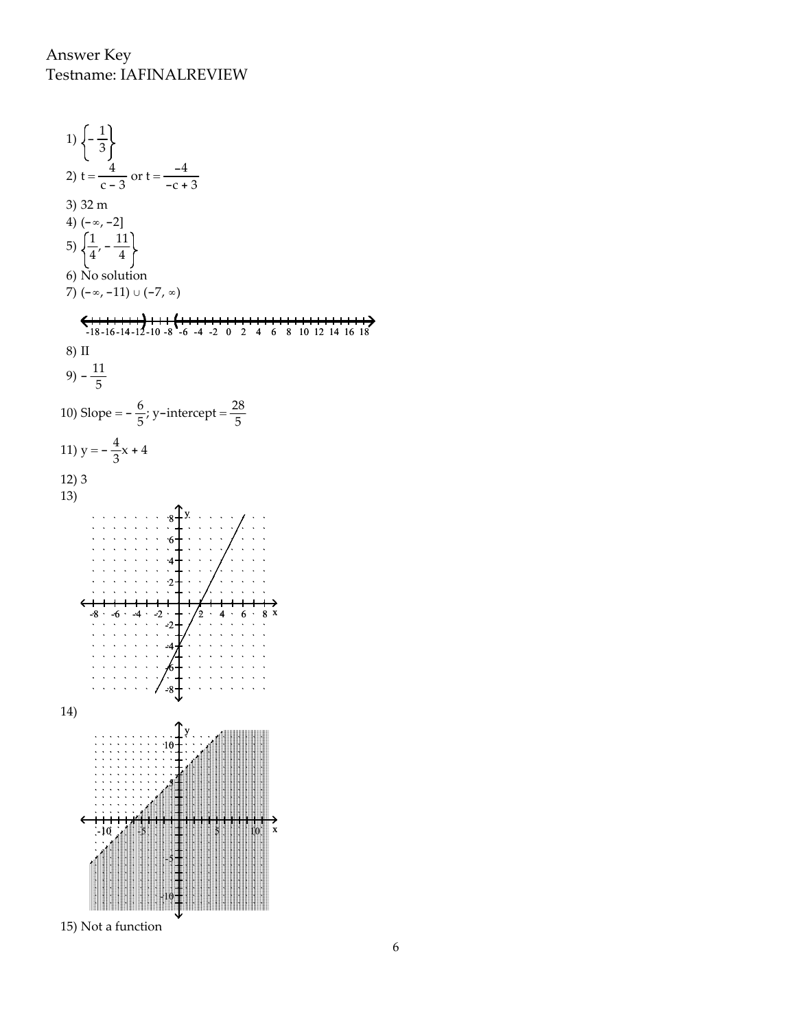Answer Key Testname: IAFINALREVIEW

1)  $\left(-\frac{1}{2}\right)$ 3  $\frac{4}{c-3}$  or t =  $\frac{-4}{-c+1}$ 2)  $t = \frac{4}{1}$  $-c + 3$ 3) 32 m 4)  $(-\infty, -2]$ 5)  $\left(\frac{1}{4}, -\frac{11}{4}\right)$ 4 4 6) No solution 7) (-∞, -11) ∪ (-7, ∞) -18 -16 -14 -12 -10 -8 -6 -4 -2 0 2 4 6 8 10 12 14 16 18 8) II  $(9) - \frac{11}{5}$ 5 10) Slope =  $-\frac{6}{5}$  $\frac{6}{5}$ ; y-intercept =  $\frac{28}{5}$ 5 11)  $y = -\frac{4}{3}$  $\frac{4}{3}x + 4$ 12) 3 13) y 8 6 4 2  $-8$   $-6$   $-4$   $-2$   $+$   $\sqrt{2}$   $-4$   $-6$   $-8$  x -2 -4 -6 -8 14) y 10 5  $-10$   $-5$   $-5$   $-5$   $-5$   $-5$   $-10$   $-8$ -5  $\begin{array}{ccccccccc} & \textbf{1} & \textbf{1} & \textbf{1} & \textbf{1} & \textbf{1} & \textbf{1} & \textbf{1} & \textbf{1} & \textbf{1} & \textbf{1} & \textbf{1} & \textbf{1} & \textbf{1} & \textbf{1} & \textbf{1} & \textbf{1} & \textbf{1} & \textbf{1} & \textbf{1} & \textbf{1} & \textbf{1} & \textbf{1} & \textbf{1} & \textbf{1} & \textbf{1} & \textbf{1} & \textbf{1} & \textbf{1} & \textbf{1} & \textbf{1} &$ W  $\ddot{\cdot}$ -10

15) Not a function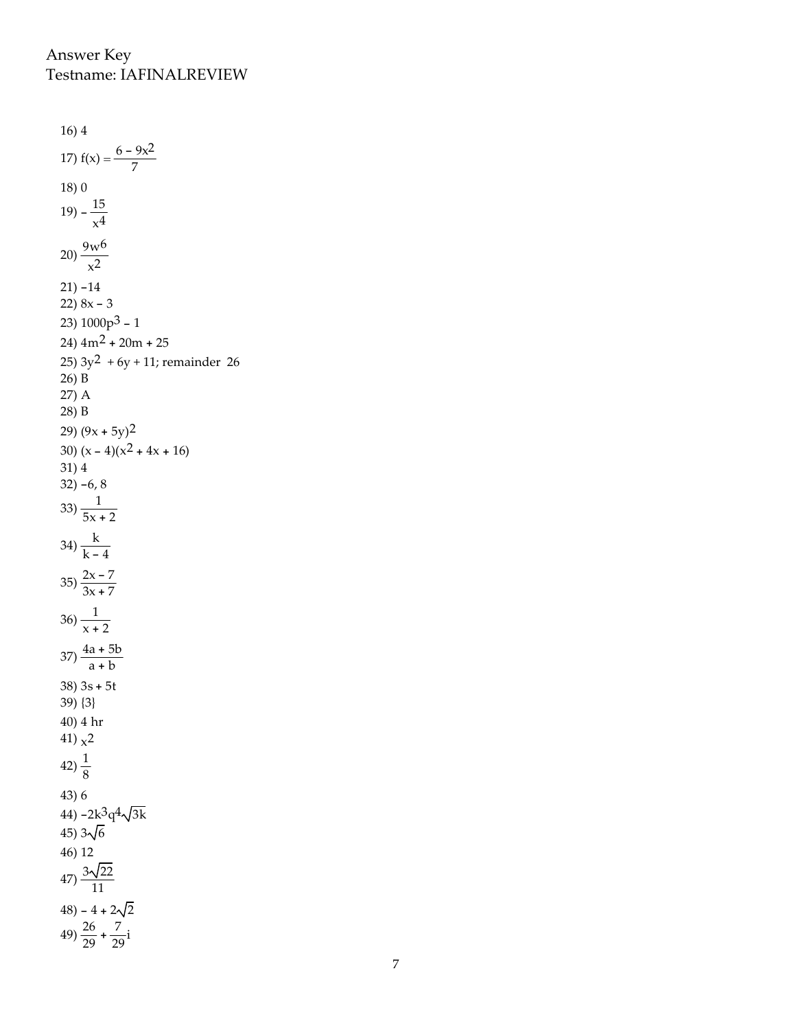Answer Key **Testname: IAFINALREVIEW** 

 $16)4$ 17)  $f(x) = \frac{6 - 9x^2}{7}$  $18)0$ 19)  $-\frac{15}{x^4}$ 20)  $\frac{9w^6}{x^2}$  $21) - 14$ 22)  $8x - 3$ 23)  $1000p^3 - 1$  $24)$  4m<sup>2</sup> + 20m + 25 25)  $3y^2 + 6y + 11$ ; remainder 26 26) B 27) A 28) B 29)  $(9x + 5y)^2$ 30)  $(x - 4)(x<sup>2</sup> + 4x + 16)$  $31)4$  $32) -6, 8$ 33)  $\frac{1}{5x+2}$ 34)  $\frac{k}{k-4}$ 35)  $\frac{2x-7}{3x+7}$ 36)  $\frac{1}{x + 2}$  $37) \frac{4a+5b}{a+b}$  $38)$  3s + 5t 39 ${3}$ 40) 4 hr 41)  $x^2$ 42)  $\frac{1}{8}$  $43)6$ 44)  $-2k^3q^4\sqrt{3k}$ 45)  $3\sqrt{6}$ 46) 12  $47)\frac{3\sqrt{22}}{11}$  $48) - 4 + 2\sqrt{2}$  $49) \frac{26}{29} + \frac{7}{29}i$